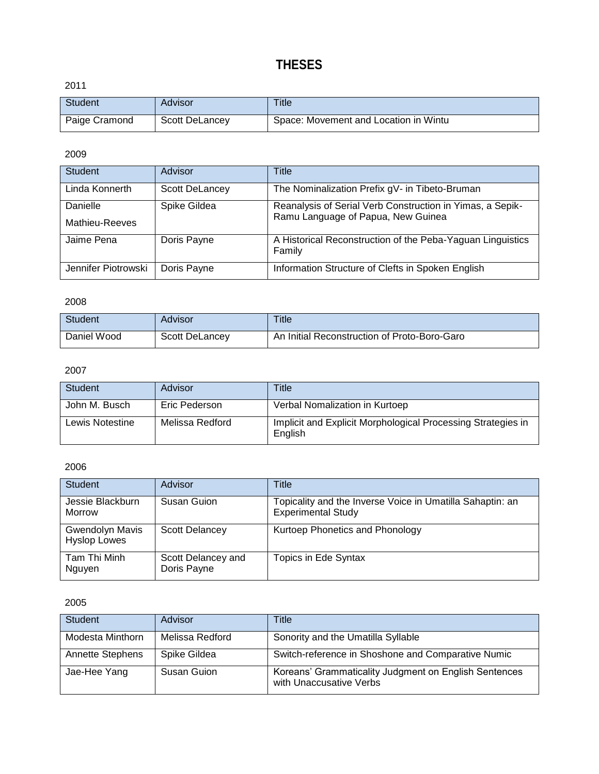# **THESES**

2011

| <b>Student</b> | Advisor        | Title                                 |
|----------------|----------------|---------------------------------------|
| Paige Cramond  | Scott DeLancey | Space: Movement and Location in Wintu |

2009

| <b>Student</b>             | Advisor               | Title                                                                                           |
|----------------------------|-----------------------|-------------------------------------------------------------------------------------------------|
| Linda Konnerth             | <b>Scott DeLancey</b> | The Nominalization Prefix gV- in Tibeto-Bruman                                                  |
| Danielle<br>Mathieu-Reeves | Spike Gildea          | Reanalysis of Serial Verb Construction in Yimas, a Sepik-<br>Ramu Language of Papua, New Guinea |
| Jaime Pena                 | Doris Payne           | A Historical Reconstruction of the Peba-Yaguan Linguistics<br>Family                            |
| Jennifer Piotrowski        | Doris Payne           | Information Structure of Clefts in Spoken English                                               |

2008

| <b>Student</b> | Advisor               | Title                                        |
|----------------|-----------------------|----------------------------------------------|
| Daniel Wood    | <b>Scott DeLancey</b> | An Initial Reconstruction of Proto-Boro-Garo |

#### 2007

| <b>Student</b>  | Advisor         | Title                                                                   |
|-----------------|-----------------|-------------------------------------------------------------------------|
| John M. Busch   | Eric Pederson   | Verbal Nomalization in Kurtoep                                          |
| Lewis Notestine | Melissa Redford | Implicit and Explicit Morphological Processing Strategies in<br>English |

2006

| Student                                | Advisor                           | Title                                                                                  |
|----------------------------------------|-----------------------------------|----------------------------------------------------------------------------------------|
| Jessie Blackburn<br>Morrow             | Susan Guion                       | Topicality and the Inverse Voice in Umatilla Sahaptin: an<br><b>Experimental Study</b> |
| Gwendolyn Mavis<br><b>Hyslop Lowes</b> | <b>Scott Delancey</b>             | Kurtoep Phonetics and Phonology                                                        |
| Tam Thi Minh<br>Nguyen                 | Scott Delancey and<br>Doris Payne | <b>Topics in Ede Syntax</b>                                                            |

| <b>Student</b>          | Advisor         | Title                                                                            |
|-------------------------|-----------------|----------------------------------------------------------------------------------|
| Modesta Minthorn        | Melissa Redford | Sonority and the Umatilla Syllable                                               |
| <b>Annette Stephens</b> | Spike Gildea    | Switch-reference in Shoshone and Comparative Numic                               |
| Jae-Hee Yang            | Susan Guion     | Koreans' Grammaticality Judgment on English Sentences<br>with Unaccusative Verbs |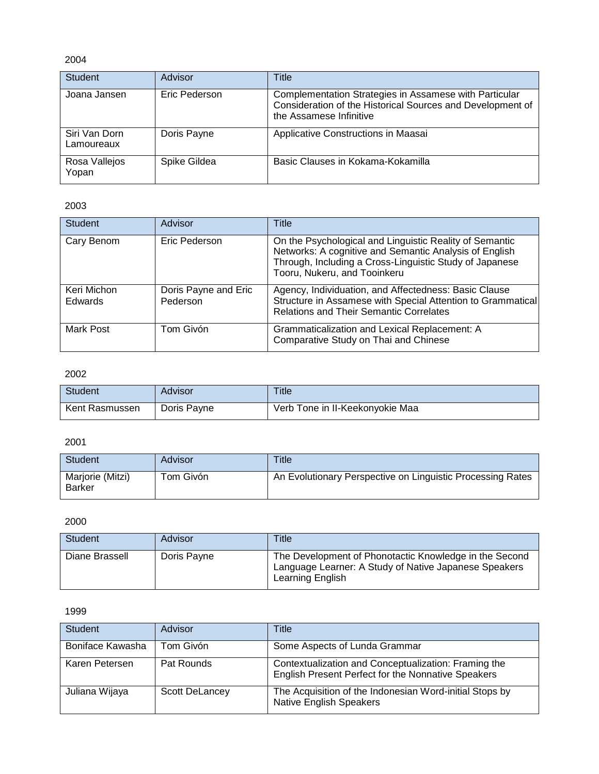| <b>Student</b>              | Advisor       | Title                                                                                                                                           |
|-----------------------------|---------------|-------------------------------------------------------------------------------------------------------------------------------------------------|
| Joana Jansen                | Eric Pederson | Complementation Strategies in Assamese with Particular<br>Consideration of the Historical Sources and Development of<br>the Assamese Infinitive |
| Siri Van Dorn<br>Lamoureaux | Doris Payne   | Applicative Constructions in Maasai                                                                                                             |
| Rosa Vallejos<br>Yopan      | Spike Gildea  | Basic Clauses in Kokama-Kokamilla                                                                                                               |

## 2003

| <b>Student</b>         | Advisor                          | Title                                                                                                                                                                                                        |
|------------------------|----------------------------------|--------------------------------------------------------------------------------------------------------------------------------------------------------------------------------------------------------------|
| Cary Benom             | Eric Pederson                    | On the Psychological and Linguistic Reality of Semantic<br>Networks: A cognitive and Semantic Analysis of English<br>Through, Including a Cross-Linguistic Study of Japanese<br>Tooru, Nukeru, and Tooinkeru |
| Keri Michon<br>Edwards | Doris Payne and Eric<br>Pederson | Agency, Individuation, and Affectedness: Basic Clause<br>Structure in Assamese with Special Attention to Grammatical<br>Relations and Their Semantic Correlates                                              |
| Mark Post              | Tom Givón                        | Grammaticalization and Lexical Replacement: A<br>Comparative Study on Thai and Chinese                                                                                                                       |

# 2002

| Student        | Advisor     | Title                           |
|----------------|-------------|---------------------------------|
| Kent Rasmussen | Doris Payne | Verb Tone in II-Keekonyokie Maa |

## 2001

| <b>Student</b>                    | Advisor   | Title                                                      |
|-----------------------------------|-----------|------------------------------------------------------------|
| Marjorie (Mitzi)<br><b>Barker</b> | Tom Givón | An Evolutionary Perspective on Linguistic Processing Rates |

2000

| Student        | Advisor     | Title                                                                                                                               |
|----------------|-------------|-------------------------------------------------------------------------------------------------------------------------------------|
| Diane Brassell | Doris Payne | The Development of Phonotactic Knowledge in the Second<br>Language Learner: A Study of Native Japanese Speakers<br>Learning English |

| <b>Student</b>   | Advisor        | Title                                                                                                      |
|------------------|----------------|------------------------------------------------------------------------------------------------------------|
| Boniface Kawasha | Tom Givón      | Some Aspects of Lunda Grammar                                                                              |
| Karen Petersen   | Pat Rounds     | Contextualization and Conceptualization: Framing the<br>English Present Perfect for the Nonnative Speakers |
| Juliana Wijaya   | Scott DeLancey | The Acquisition of the Indonesian Word-initial Stops by<br><b>Native English Speakers</b>                  |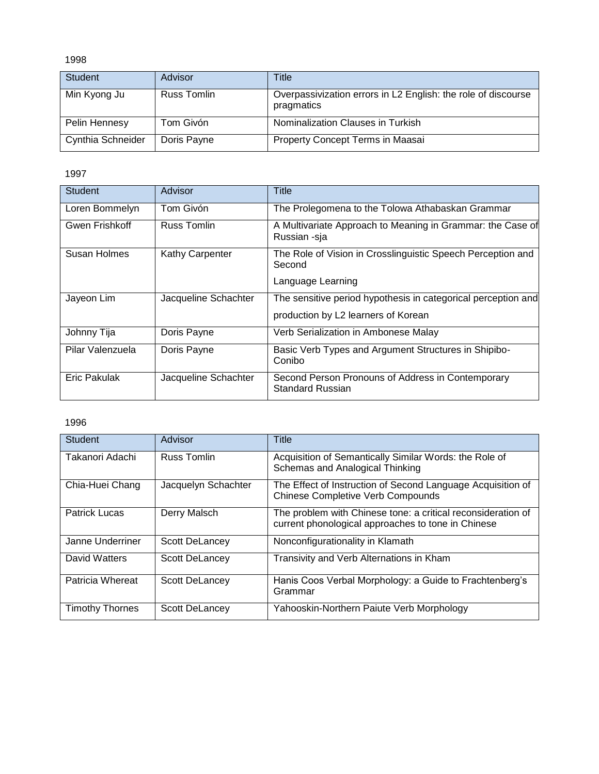| <b>Student</b>    | Advisor            | Title                                                                       |
|-------------------|--------------------|-----------------------------------------------------------------------------|
| Min Kyong Ju      | <b>Russ Tomlin</b> | Overpassivization errors in L2 English: the role of discourse<br>pragmatics |
| Pelin Hennesy     | Tom Givón          | Nominalization Clauses in Turkish                                           |
| Cynthia Schneider | Doris Payne        | Property Concept Terms in Maasai                                            |

1997

| <b>Student</b>   | Advisor              | Title                                                                        |
|------------------|----------------------|------------------------------------------------------------------------------|
| Loren Bommelyn   | Tom Givón            | The Prolegomena to the Tolowa Athabaskan Grammar                             |
| Gwen Frishkoff   | <b>Russ Tomlin</b>   | A Multivariate Approach to Meaning in Grammar: the Case of<br>Russian -sja   |
| Susan Holmes     | Kathy Carpenter      | The Role of Vision in Crosslinguistic Speech Perception and<br>Second        |
|                  |                      | Language Learning                                                            |
| Jayeon Lim       | Jacqueline Schachter | The sensitive period hypothesis in categorical perception and                |
|                  |                      | production by L2 learners of Korean                                          |
| Johnny Tija      | Doris Payne          | Verb Serialization in Ambonese Malay                                         |
| Pilar Valenzuela | Doris Payne          | Basic Verb Types and Argument Structures in Shipibo-<br>Conibo               |
| Eric Pakulak     | Jacqueline Schachter | Second Person Pronouns of Address in Contemporary<br><b>Standard Russian</b> |

| <b>Student</b>         | Advisor               | Title                                                                                                              |
|------------------------|-----------------------|--------------------------------------------------------------------------------------------------------------------|
| Takanori Adachi        | <b>Russ Tomlin</b>    | Acquisition of Semantically Similar Words: the Role of<br>Schemas and Analogical Thinking                          |
| Chia-Huei Chang        | Jacquelyn Schachter   | The Effect of Instruction of Second Language Acquisition of<br><b>Chinese Completive Verb Compounds</b>            |
| <b>Patrick Lucas</b>   | Derry Malsch          | The problem with Chinese tone: a critical reconsideration of<br>current phonological approaches to tone in Chinese |
| Janne Underriner       | <b>Scott DeLancey</b> | Nonconfigurationality in Klamath                                                                                   |
| David Watters          | Scott DeLancey        | Transivity and Verb Alternations in Kham                                                                           |
| Patricia Whereat       | Scott DeLancey        | Hanis Coos Verbal Morphology: a Guide to Frachtenberg's<br>Grammar                                                 |
| <b>Timothy Thornes</b> | Scott DeLancey        | Yahooskin-Northern Paiute Verb Morphology                                                                          |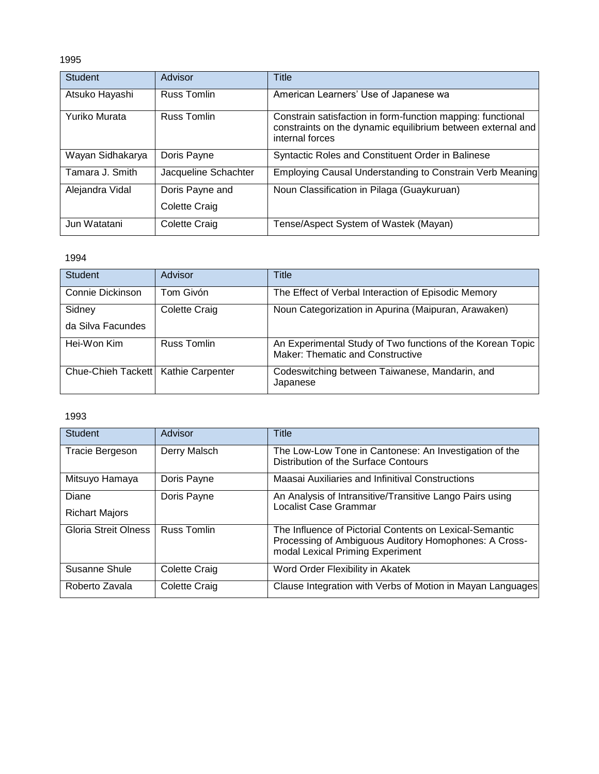| <b>Student</b>   | Advisor              | Title                                                                                                                                         |
|------------------|----------------------|-----------------------------------------------------------------------------------------------------------------------------------------------|
| Atsuko Hayashi   | <b>Russ Tomlin</b>   | American Learners' Use of Japanese wa                                                                                                         |
| Yuriko Murata    | Russ Tomlin          | Constrain satisfaction in form-function mapping: functional<br>constraints on the dynamic equilibrium between external and<br>internal forces |
| Wayan Sidhakarya | Doris Payne          | Syntactic Roles and Constituent Order in Balinese                                                                                             |
| Tamara J. Smith  | Jacqueline Schachter | Employing Causal Understanding to Constrain Verb Meaning                                                                                      |
| Alejandra Vidal  | Doris Payne and      | Noun Classification in Pilaga (Guaykuruan)                                                                                                    |
|                  | Colette Craig        |                                                                                                                                               |
| Jun Watatani     | Colette Craig        | Tense/Aspect System of Wastek (Mayan)                                                                                                         |

# 1994

| <b>Student</b>                        | Advisor       | Title                                                                                                 |
|---------------------------------------|---------------|-------------------------------------------------------------------------------------------------------|
| Connie Dickinson                      | Tom Givón     | The Effect of Verbal Interaction of Episodic Memory                                                   |
| Sidney                                | Colette Craig | Noun Categorization in Apurina (Maipuran, Arawaken)                                                   |
| da Silva Facundes                     |               |                                                                                                       |
| Hei-Won Kim                           | Russ Tomlin   | An Experimental Study of Two functions of the Korean Topic<br><b>Maker: Thematic and Constructive</b> |
| Chue-Chieh Tackett   Kathie Carpenter |               | Codeswitching between Taiwanese, Mandarin, and<br>Japanese                                            |

| <b>Student</b>        | Advisor              | Title                                                                                                                                                |
|-----------------------|----------------------|------------------------------------------------------------------------------------------------------------------------------------------------------|
| Tracie Bergeson       | Derry Malsch         | The Low-Low Tone in Cantonese: An Investigation of the<br>Distribution of the Surface Contours                                                       |
| Mitsuyo Hamaya        | Doris Payne          | Maasai Auxiliaries and Infinitival Constructions                                                                                                     |
| Diane                 | Doris Payne          | An Analysis of Intransitive/Transitive Lango Pairs using<br><b>Localist Case Grammar</b>                                                             |
| <b>Richart Majors</b> |                      |                                                                                                                                                      |
| Gloria Streit Olness  | <b>Russ Tomlin</b>   | The Influence of Pictorial Contents on Lexical-Semantic<br>Processing of Ambiguous Auditory Homophones: A Cross-<br>modal Lexical Priming Experiment |
| Susanne Shule         | Colette Craig        | Word Order Flexibility in Akatek                                                                                                                     |
| Roberto Zavala        | <b>Colette Craig</b> | Clause Integration with Verbs of Motion in Mayan Languages                                                                                           |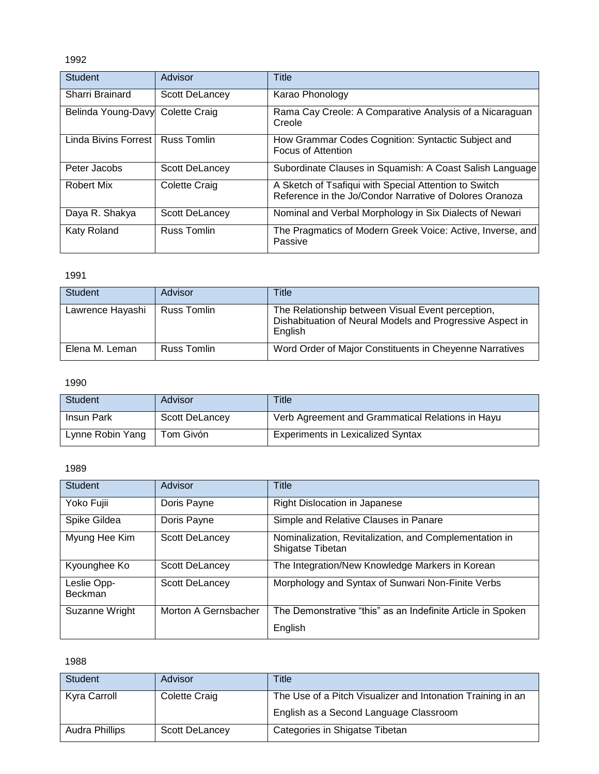| <b>Student</b>       | Advisor              | Title                                                                                                            |
|----------------------|----------------------|------------------------------------------------------------------------------------------------------------------|
| Sharri Brainard      | Scott DeLancey       | Karao Phonology                                                                                                  |
| Belinda Young-Davy   | <b>Colette Craig</b> | Rama Cay Creole: A Comparative Analysis of a Nicaraguan<br>Creole                                                |
| Linda Bivins Forrest | <b>Russ Tomlin</b>   | How Grammar Codes Cognition: Syntactic Subject and<br>Focus of Attention                                         |
| Peter Jacobs         | Scott DeLancey       | Subordinate Clauses in Squamish: A Coast Salish Language                                                         |
| Robert Mix           | Colette Craig        | A Sketch of Tsafiqui with Special Attention to Switch<br>Reference in the Jo/Condor Narrative of Dolores Oranoza |
| Daya R. Shakya       | Scott DeLancey       | Nominal and Verbal Morphology in Six Dialects of Newari                                                          |
| <b>Katy Roland</b>   | <b>Russ Tomlin</b>   | The Pragmatics of Modern Greek Voice: Active, Inverse, and<br>Passive                                            |

#### 1991

| Student          | Advisor     | Title                                                                                                                     |
|------------------|-------------|---------------------------------------------------------------------------------------------------------------------------|
| Lawrence Hayashi | Russ Tomlin | The Relationship between Visual Event perception,<br>Dishabituation of Neural Models and Progressive Aspect in<br>English |
| Elena M. Leman   | Russ Tomlin | Word Order of Major Constituents in Cheyenne Narratives                                                                   |

## 1990

| Student           | Advisor               | <b>Title</b>                                     |
|-------------------|-----------------------|--------------------------------------------------|
| <b>Insun Park</b> | <b>Scott DeLancey</b> | Verb Agreement and Grammatical Relations in Hayu |
| Lynne Robin Yang  | Tom Givón             | <b>Experiments in Lexicalized Syntax</b>         |

#### 1989

| <b>Student</b>                | Advisor               | Title                                                                      |
|-------------------------------|-----------------------|----------------------------------------------------------------------------|
| Yoko Fujii                    | Doris Payne           | <b>Right Dislocation in Japanese</b>                                       |
| Spike Gildea                  | Doris Payne           | Simple and Relative Clauses in Panare                                      |
| Myung Hee Kim                 | <b>Scott DeLancey</b> | Nominalization, Revitalization, and Complementation in<br>Shigatse Tibetan |
| Kyounghee Ko                  | Scott DeLancey        | The Integration/New Knowledge Markers in Korean                            |
| Leslie Opp-<br><b>Beckman</b> | Scott DeLancey        | Morphology and Syntax of Sunwari Non-Finite Verbs                          |
| Suzanne Wright                | Morton A Gernsbacher  | The Demonstrative "this" as an Indefinite Article in Spoken                |
|                               |                       | English                                                                    |

| Student        | Advisor        | Title                                                       |
|----------------|----------------|-------------------------------------------------------------|
| Kyra Carroll   | Colette Craig  | The Use of a Pitch Visualizer and Intonation Training in an |
|                |                | English as a Second Language Classroom                      |
| Audra Phillips | Scott DeLancey | Categories in Shigatse Tibetan                              |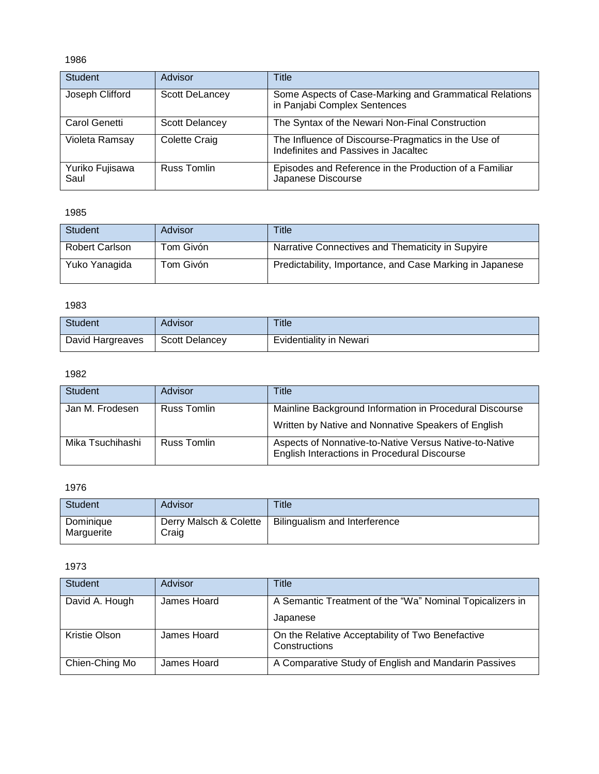| <b>Student</b>          | Advisor               | Title                                                                                       |
|-------------------------|-----------------------|---------------------------------------------------------------------------------------------|
| Joseph Clifford         | <b>Scott DeLancey</b> | Some Aspects of Case-Marking and Grammatical Relations<br>in Panjabi Complex Sentences      |
| Carol Genetti           | <b>Scott Delancey</b> | The Syntax of the Newari Non-Final Construction                                             |
| Violeta Ramsay          | <b>Colette Craig</b>  | The Influence of Discourse-Pragmatics in the Use of<br>Indefinites and Passives in Jacaltec |
| Yuriko Fujisawa<br>Saul | <b>Russ Tomlin</b>    | Episodes and Reference in the Production of a Familiar<br>Japanese Discourse                |

1985

| <b>Student</b>        | Advisor   | Title                                                    |
|-----------------------|-----------|----------------------------------------------------------|
| <b>Robert Carlson</b> | Tom Givón | Narrative Connectives and Thematicity in Supyire         |
| Yuko Yanagida         | Tom Givón | Predictability, Importance, and Case Marking in Japanese |

# 1983

| Student          | Advisor               | Title                          |
|------------------|-----------------------|--------------------------------|
| David Hargreaves | <b>Scott Delancey</b> | <b>Evidentiality in Newari</b> |

# 1982

| <b>Student</b>   | Advisor     | Title                                                                                                          |
|------------------|-------------|----------------------------------------------------------------------------------------------------------------|
| Jan M. Frodesen  | Russ Tomlin | Mainline Background Information in Procedural Discourse<br>Written by Native and Nonnative Speakers of English |
| Mika Tsuchihashi | Russ Tomlin | Aspects of Nonnative-to-Native Versus Native-to-Native<br>English Interactions in Procedural Discourse         |

# 1976

| Student                 | Advisor                         | Title                         |
|-------------------------|---------------------------------|-------------------------------|
| Dominique<br>Marguerite | Derry Malsch & Colette<br>Craig | Bilingualism and Interference |

| <b>Student</b> | Advisor     | Title                                                                |
|----------------|-------------|----------------------------------------------------------------------|
| David A. Hough | James Hoard | A Semantic Treatment of the "Wa" Nominal Topicalizers in<br>Japanese |
| Kristie Olson  | James Hoard | On the Relative Acceptability of Two Benefactive<br>Constructions    |
| Chien-Ching Mo | James Hoard | A Comparative Study of English and Mandarin Passives                 |